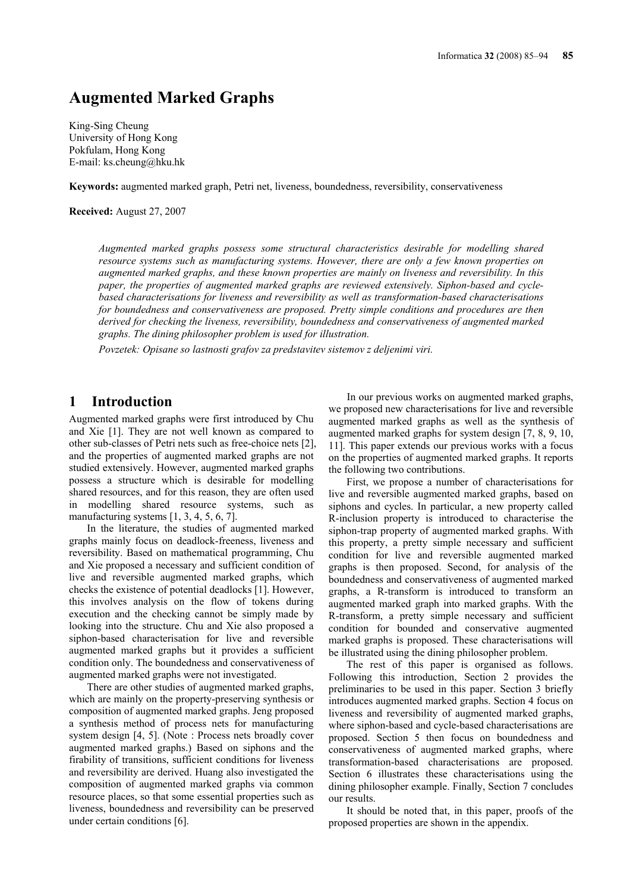# **Augmented Marked Graphs**

King-Sing Cheung University of Hong Kong Pokfulam, Hong Kong E-mail: ks.cheung@hku.hk

**Keywords:** augmented marked graph, Petri net, liveness, boundedness, reversibility, conservativeness

**Received:** August 27, 2007

*Augmented marked graphs possess some structural characteristics desirable for modelling shared resource systems such as manufacturing systems. However, there are only a few known properties on augmented marked graphs, and these known properties are mainly on liveness and reversibility. In this paper, the properties of augmented marked graphs are reviewed extensively. Siphon-based and cyclebased characterisations for liveness and reversibility as well as transformation-based characterisations for boundedness and conservativeness are proposed. Pretty simple conditions and procedures are then derived for checking the liveness, reversibility, boundedness and conservativeness of augmented marked graphs. The dining philosopher problem is used for illustration.* 

*Povzetek: Opisane so lastnosti grafov za predstavitev sistemov z deljenimi viri.* 

### **1 Introduction**

Augmented marked graphs were first introduced by Chu and Xie [1]. They are not well known as compared to other sub-classes of Petri nets such as free-choice nets [2], and the properties of augmented marked graphs are not studied extensively. However, augmented marked graphs possess a structure which is desirable for modelling shared resources, and for this reason, they are often used in modelling shared resource systems, such as manufacturing systems [1, 3, 4, 5, 6, 7].

In the literature, the studies of augmented marked graphs mainly focus on deadlock-freeness, liveness and reversibility. Based on mathematical programming, Chu and Xie proposed a necessary and sufficient condition of live and reversible augmented marked graphs, which checks the existence of potential deadlocks [1]. However, this involves analysis on the flow of tokens during execution and the checking cannot be simply made by looking into the structure. Chu and Xie also proposed a siphon-based characterisation for live and reversible augmented marked graphs but it provides a sufficient condition only. The boundedness and conservativeness of augmented marked graphs were not investigated.

There are other studies of augmented marked graphs, which are mainly on the property-preserving synthesis or composition of augmented marked graphs. Jeng proposed a synthesis method of process nets for manufacturing system design [4, 5]. (Note : Process nets broadly cover augmented marked graphs.) Based on siphons and the firability of transitions, sufficient conditions for liveness and reversibility are derived. Huang also investigated the composition of augmented marked graphs via common resource places, so that some essential properties such as liveness, boundedness and reversibility can be preserved under certain conditions [6].

In our previous works on augmented marked graphs, we proposed new characterisations for live and reversible augmented marked graphs as well as the synthesis of augmented marked graphs for system design [7, 8, 9, 10, 11]. This paper extends our previous works with a focus on the properties of augmented marked graphs. It reports the following two contributions.

First, we propose a number of characterisations for live and reversible augmented marked graphs, based on siphons and cycles. In particular, a new property called R-inclusion property is introduced to characterise the siphon-trap property of augmented marked graphs. With this property, a pretty simple necessary and sufficient condition for live and reversible augmented marked graphs is then proposed. Second, for analysis of the boundedness and conservativeness of augmented marked graphs, a R-transform is introduced to transform an augmented marked graph into marked graphs. With the R-transform, a pretty simple necessary and sufficient condition for bounded and conservative augmented marked graphs is proposed. These characterisations will be illustrated using the dining philosopher problem.

The rest of this paper is organised as follows. Following this introduction, Section 2 provides the preliminaries to be used in this paper. Section 3 briefly introduces augmented marked graphs. Section 4 focus on liveness and reversibility of augmented marked graphs, where siphon-based and cycle-based characterisations are proposed. Section 5 then focus on boundedness and conservativeness of augmented marked graphs, where transformation-based characterisations are proposed. Section 6 illustrates these characterisations using the dining philosopher example. Finally, Section 7 concludes our results.

It should be noted that, in this paper, proofs of the proposed properties are shown in the appendix.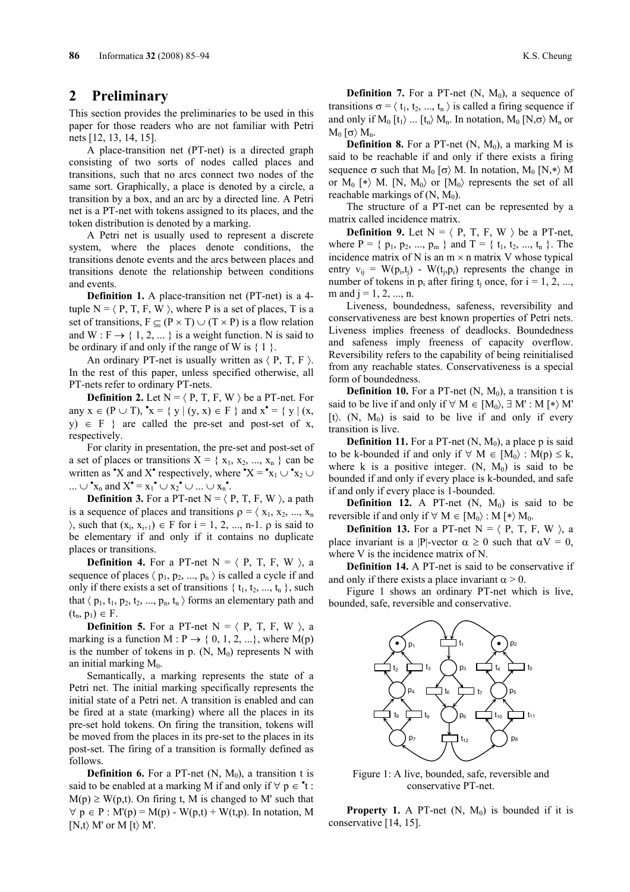### **2 Preliminary**

This section provides the preliminaries to be used in this paper for those readers who are not familiar with Petri nets [12, 13, 14, 15].

A place-transition net (PT-net) is a directed graph consisting of two sorts of nodes called places and transitions, such that no arcs connect two nodes of the same sort. Graphically, a place is denoted by a circle, a transition by a box, and an arc by a directed line. A Petri net is a PT-net with tokens assigned to its places, and the token distribution is denoted by a marking.

A Petri net is usually used to represent a discrete system, where the places denote conditions, the transitions denote events and the arcs between places and transitions denote the relationship between conditions and events.

**Definition 1.** A place-transition net (PT-net) is a 4 tuple  $N = \langle P, T, F, W \rangle$ , where P is a set of places, T is a set of transitions,  $F \subseteq (P \times T) \cup (T \times P)$  is a flow relation and W :  $F \rightarrow \{ 1, 2, \dots \}$  is a weight function. N is said to be ordinary if and only if the range of W is  $\{1\}$ .

An ordinary PT-net is usually written as  $\langle P, T, F \rangle$ . In the rest of this paper, unless specified otherwise, all PT-nets refer to ordinary PT-nets.

**Definition 2.** Let  $N = \langle P, T, F, W \rangle$  be a PT-net. For any  $x \in (P \cup T)$ ,  $x = \{ y | (y, x) \in F \}$  and  $x^{\bullet} = \{ y | (x, y) \in F \}$ y)  $\in$  F } are called the pre-set and post-set of x, respectively.

For clarity in presentation, the pre-set and post-set of a set of places or transitions  $X = \{x_1, x_2, ..., x_n\}$  can be written as "X and X" respectively, where "X = " $x_1 \cup x_2 \cup$ ...  $\cup$  \*x<sub>n</sub> and X\* = x<sub>1</sub>\*  $\cup$  x<sub>2</sub><sup>\*</sup>  $\cup$  ...  $\cup$  x<sub>n</sub><sup>\*</sup>.

**Definition 3.** For a PT-net  $N = \langle P, T, F, W \rangle$ , a path is a sequence of places and transitions  $\rho = \langle x_1, x_2, ..., x_n \rangle$  $\{X_i, X_{i+1}\}$  ∈ F for i = 1, 2, ..., n-1. ρ is said to be elementary if and only if it contains no duplicate places or transitions.

**Definition 4.** For a PT-net  $N = \langle P, T, F, W \rangle$ , a sequence of places  $\langle p_1, p_2, ..., p_n \rangle$  is called a cycle if and only if there exists a set of transitions  $\{t_1, t_2, ..., t_n\}$ , such that  $\langle p_1, t_1, p_2, t_2, ..., p_n, t_n \rangle$  forms an elementary path and  $(t_n, p_1) \in F$ .

**Definition 5.** For a PT-net  $N = \langle P, T, F, W \rangle$ , a marking is a function M :  $P \rightarrow \{0, 1, 2, ...\}$ , where M(p) is the number of tokens in p.  $(N, M_0)$  represents N with an initial marking  $M_0$ .

Semantically, a marking represents the state of a Petri net. The initial marking specifically represents the initial state of a Petri net. A transition is enabled and can be fired at a state (marking) where all the places in its pre-set hold tokens. On firing the transition, tokens will be moved from the places in its pre-set to the places in its post-set. The firing of a transition is formally defined as follows.

**Definition 6.** For a PT-net  $(N, M_0)$ , a transition t is said to be enabled at a marking M if and only if  $\forall p \in \mathbf{t}$ :  $M(p) \geq W(p,t)$ . On firing t, M is changed to M' such that  $\forall p \in P : M'(p) = M(p) - W(p,t) + W(t,p)$ . In notation, M  $[N,t\rangle M'$  or M  $[t\rangle M'.$ 

**Definition 7.** For a PT-net  $(N, M_0)$ , a sequence of transitions  $\sigma = \langle t_1, t_2, ..., t_n \rangle$  is called a firing sequence if and only if  $M_0[t_1)$  ...  $[t_n \rangle M_n$ . In notation,  $M_0[N,\sigma \rangle M_n$  or  $M_0$  [σ)  $M_n$ .

**Definition 8.** For a PT-net  $(N, M_0)$ , a marking M is said to be reachable if and only if there exists a firing sequence σ such that  $M_0$  [σ) M. In notation,  $M_0$  [N,\*) M or  $M_0$  [\*) M. [N,  $M_0$ ) or  $[M_0]$  represents the set of all reachable markings of  $(N, M_0)$ .

The structure of a PT-net can be represented by a matrix called incidence matrix.

**Definition 9.** Let  $N = \langle P, T, F, W \rangle$  be a PT-net, where  $P = \{ p_1, p_2, ..., p_m \}$  and  $T = \{ t_1, t_2, ..., t_n \}$ . The incidence matrix of N is an  $m \times n$  matrix V whose typical entry  $v_{ij} = W(p_i, t_i) - W(t_i, p_i)$  represents the change in number of tokens in  $p_i$  after firing  $t_i$  once, for  $i = 1, 2, ...,$ m and  $j = 1, 2, ..., n$ .

Liveness, boundedness, safeness, reversibility and conservativeness are best known properties of Petri nets. Liveness implies freeness of deadlocks. Boundedness and safeness imply freeness of capacity overflow. Reversibility refers to the capability of being reinitialised from any reachable states. Conservativeness is a special form of boundedness.

**Definition 10.** For a PT-net  $(N, M_0)$ , a transition t is said to be live if and only if  $\forall M \in [M_0), \exists M' : M \models \forall M'$ [t).  $(N, M_0)$  is said to be live if and only if every transition is live.

**Definition 11.** For a PT-net  $(N, M_0)$ , a place p is said to be k-bounded if and only if  $\forall M \in [M_0) : M(p) \leq k$ , where k is a positive integer.  $(N, M_0)$  is said to be bounded if and only if every place is k-bounded, and safe if and only if every place is 1-bounded.

**Definition 12.** A PT-net  $(N, M_0)$  is said to be reversible if and only if  $\forall$  M ∈ [M<sub>0</sub> $\rangle$  : M [\* $\rangle$  M<sub>0</sub>.

**Definition 13.** For a PT-net  $N = \langle P, T, F, W \rangle$ , a place invariant is a |P|-vector  $\alpha \ge 0$  such that  $\alpha V = 0$ , where V is the incidence matrix of N.

**Definition 14.** A PT-net is said to be conservative if and only if there exists a place invariant  $\alpha > 0$ .

Figure 1 shows an ordinary PT-net which is live, bounded, safe, reversible and conservative.



Figure 1: A live, bounded, safe, reversible and conservative PT-net.

**Property 1.** A PT-net  $(N, M_0)$  is bounded if it is conservative [14, 15].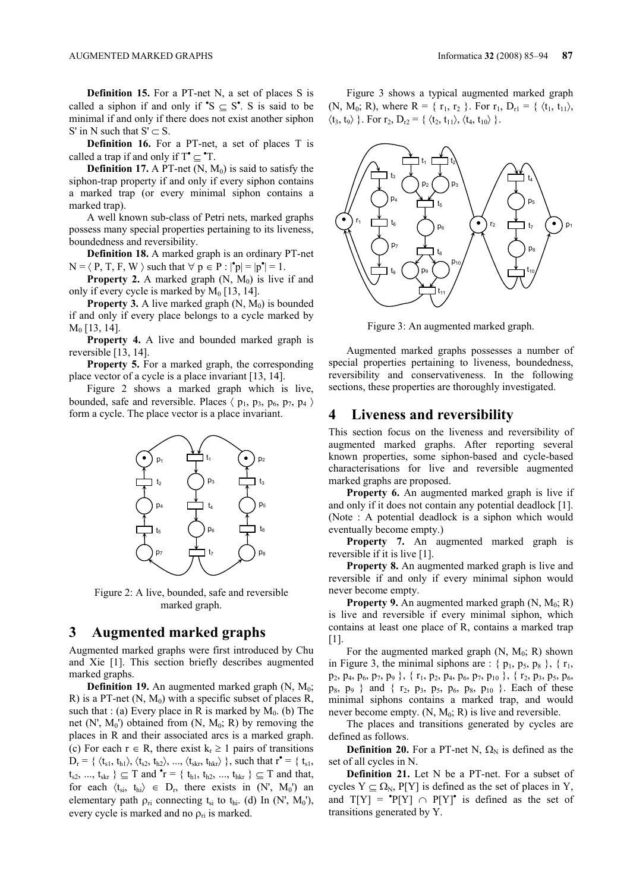**Definition 15.** For a PT-net N, a set of places S is called a siphon if and only if  $\mathbb{S} \subseteq \mathbb{S}^{\bullet}$ . S is said to be minimal if and only if there does not exist another siphon S' in N such that  $S' \subset S$ .

**Definition 16.** For a PT-net, a set of places T is called a trap if and only if  $T^{\bullet} \subseteq {}^{\bullet}T$ .

**Definition 17.** A PT-net  $(N, M_0)$  is said to satisfy the siphon-trap property if and only if every siphon contains a marked trap (or every minimal siphon contains a marked trap).

A well known sub-class of Petri nets, marked graphs possess many special properties pertaining to its liveness, boundedness and reversibility.

**Definition 18.** A marked graph is an ordinary PT-net  $N = \langle P, T, F, W \rangle$  such that  $\forall p \in P : |\mathbf{p}| = |p^{\bullet}| = 1$ .

**Property 2.** A marked graph  $(N, M_0)$  is live if and only if every cycle is marked by  $M_0$  [13, 14].

**Property 3.** A live marked graph  $(N, M_0)$  is bounded if and only if every place belongs to a cycle marked by M0 [13, 14].

**Property 4.** A live and bounded marked graph is reversible [13, 14].

**Property 5.** For a marked graph, the corresponding place vector of a cycle is a place invariant [13, 14].

Figure 2 shows a marked graph which is live, bounded, safe and reversible. Places  $\langle p_1, p_3, p_6, p_7, p_4 \rangle$ form a cycle. The place vector is a place invariant.



Figure 2: A live, bounded, safe and reversible marked graph.

### **3 Augmented marked graphs**

Augmented marked graphs were first introduced by Chu and Xie [1]. This section briefly describes augmented marked graphs.

**Definition 19.** An augmented marked graph  $(N, M_0;$ R) is a PT-net  $(N, M_0)$  with a specific subset of places R, such that : (a) Every place in R is marked by  $M_0$ . (b) The net  $(N', M_0')$  obtained from  $(N, M_0; R)$  by removing the places in R and their associated arcs is a marked graph. (c) For each  $r \in R$ , there exist  $k_r \ge 1$  pairs of transitions  $D_r = \{ \langle t_{s1}, t_{h1} \rangle, \langle t_{s2}, t_{h2} \rangle, ..., \langle t_{skr}, t_{hkr} \rangle \}$ , such that  $r^{\bullet} = \{ t_{s1},$  $t_{s2}, ..., t_{skr}$  }  $\subseteq T$  and  $\mathbf{r} = \{ t_{h1}, t_{h2}, ..., t_{hkr} \} \subseteq T$  and that, for each  $\langle t_{si}, t_{hi} \rangle \in D_r$ , there exists in  $(N', M_0')$  an elementary path  $\rho_{ri}$  connecting t<sub>si</sub> to t<sub>hi</sub>. (d) In (N', M<sub>0</sub>'), every cycle is marked and no  $\rho_{ri}$  is marked.

Figure 3 shows a typical augmented marked graph (N, M<sub>0</sub>; R), where R = {  $r_1, r_2$  }. For  $r_1, D_{r1} = \{ \langle t_1, t_{11} \rangle,$  $\langle t_3, t_9 \rangle$  }. For  $r_2$ ,  $D_{r2}$  = {  $\langle t_2, t_{11} \rangle$ ,  $\langle t_4, t_{10} \rangle$  }.



Figure 3: An augmented marked graph.

Augmented marked graphs possesses a number of special properties pertaining to liveness, boundedness, reversibility and conservativeness. In the following sections, these properties are thoroughly investigated.

## **4 Liveness and reversibility**

This section focus on the liveness and reversibility of augmented marked graphs. After reporting several known properties, some siphon-based and cycle-based characterisations for live and reversible augmented marked graphs are proposed.

**Property 6.** An augmented marked graph is live if and only if it does not contain any potential deadlock [1]. (Note : A potential deadlock is a siphon which would eventually become empty.)

**Property 7.** An augmented marked graph is reversible if it is live [1].

**Property 8.** An augmented marked graph is live and reversible if and only if every minimal siphon would never become empty.

**Property 9.** An augmented marked graph  $(N, M_0; R)$ is live and reversible if every minimal siphon, which contains at least one place of R, contains a marked trap [1].

For the augmented marked graph  $(N, M_0; R)$  shown in Figure 3, the minimal siphons are :  $\{p_1, p_5, p_8\}$ ,  $\{r_1,$ p2, p4, p6, p7, p9 }, { r1, p2, p4, p6, p7, p10 }, { r2, p3, p5, p6,  $p_8$ ,  $p_9$  } and {  $r_2$ ,  $p_3$ ,  $p_5$ ,  $p_6$ ,  $p_8$ ,  $p_{10}$  }. Each of these minimal siphons contains a marked trap, and would never become empty.  $(N, M_0; R)$  is live and reversible.

The places and transitions generated by cycles are defined as follows.

**Definition 20.** For a PT-net N,  $\Omega_N$  is defined as the set of all cycles in N.

**Definition 21.** Let N be a PT-net. For a subset of cycles  $Y \subseteq \Omega_N$ , P[Y] is defined as the set of places in Y, and  $T[Y] = P[Y] \cap P[Y]^{\bullet}$  is defined as the set of transitions generated by Y.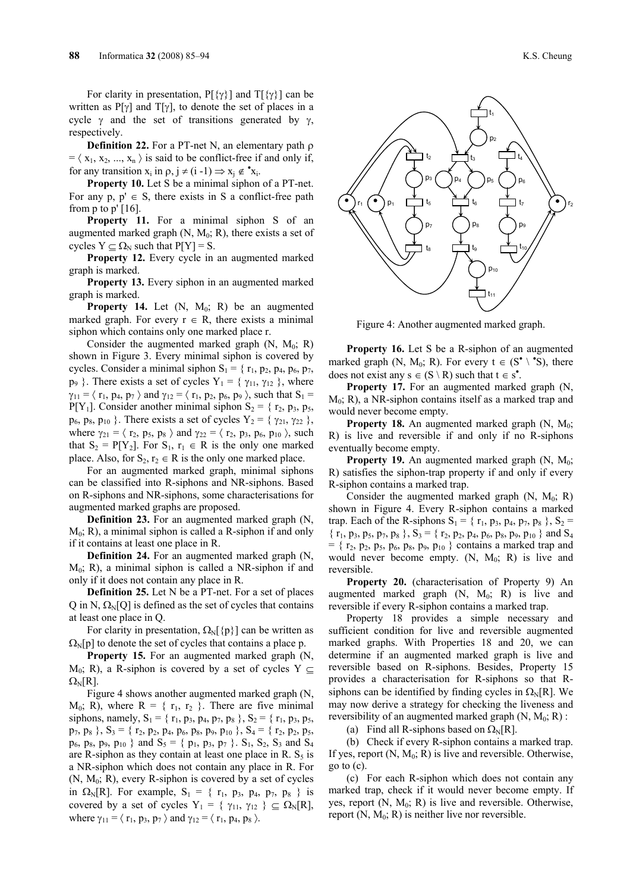For clarity in presentation,  $P[\{\gamma\}]$  and  $T[\{\gamma\}]$  can be written as  $P[\gamma]$  and  $T[\gamma]$ , to denote the set of places in a cycle  $\gamma$  and the set of transitions generated by  $\gamma$ , respectively.

**Definition 22.** For a PT-net N, an elementary path ρ  $= \langle x_1, x_2, ..., x_n \rangle$  is said to be conflict-free if and only if, for any transition  $x_i$  in  $\rho$ ,  $j \neq (i - 1) \implies x_j \notin \mathbf{x}_i$ .

**Property 10.** Let S be a minimal siphon of a PT-net. For any p,  $p' \in S$ , there exists in S a conflict-free path from  $p$  to  $p'$  [16].

Property 11. For a minimal siphon S of an augmented marked graph  $(N, M_0; R)$ , there exists a set of cycles  $Y \subseteq \Omega_N$  such that  $P[Y] = S$ .

**Property 12.** Every cycle in an augmented marked graph is marked.

**Property 13.** Every siphon in an augmented marked graph is marked.

**Property 14.** Let (N, M<sub>0</sub>; R) be an augmented marked graph. For every  $r \in R$ , there exists a minimal siphon which contains only one marked place r.

Consider the augmented marked graph  $(N, M_0; R)$ shown in Figure 3. Every minimal siphon is covered by cycles. Consider a minimal siphon  $S_1 = \{r_1, p_2, p_4, p_6, p_7,$  $p_9$  }. There exists a set of cycles  $Y_1 = \{ \gamma_{11}, \gamma_{12} \}$ , where  $\gamma_{11} = \langle r_1, p_4, p_7 \rangle$  and  $\gamma_{12} = \langle r_1, p_2, p_6, p_9 \rangle$ , such that  $S_1 =$  $P[Y_1]$ . Consider another minimal siphon  $S_2 = \{r_2, p_3, p_5,$  $p_6$ ,  $p_8$ ,  $p_{10}$  }. There exists a set of cycles  $Y_2 = \{ \gamma_{21}, \gamma_{22} \}$ , where  $\gamma_{21} = \langle r_2, p_5, p_8 \rangle$  and  $\gamma_{22} = \langle r_2, p_3, p_6, p_{10} \rangle$ , such that  $S_2 = P[Y_2]$ . For  $S_1, r_1 \in R$  is the only one marked place. Also, for  $S_2$ ,  $r_2 \in R$  is the only one marked place.

For an augmented marked graph, minimal siphons can be classified into R-siphons and NR-siphons. Based on R-siphons and NR-siphons, some characterisations for augmented marked graphs are proposed.

**Definition 23.** For an augmented marked graph (N,  $M_0$ ; R), a minimal siphon is called a R-siphon if and only if it contains at least one place in R.

**Definition 24.** For an augmented marked graph (N,  $M_0$ ; R), a minimal siphon is called a NR-siphon if and only if it does not contain any place in R.

**Definition 25.** Let N be a PT-net. For a set of places Q in N,  $\Omega_N[Q]$  is defined as the set of cycles that contains at least one place in Q.

For clarity in presentation,  $\Omega_N[\{p\}]$  can be written as  $\Omega_N[p]$  to denote the set of cycles that contains a place p.

**Property 15.** For an augmented marked graph (N,  $M_0$ ; R), a R-siphon is covered by a set of cycles Y  $\subset$  $Ω<sub>N</sub>[R]$ .

Figure 4 shows another augmented marked graph (N,  $M_0$ ; R), where R = {  $r_1$ ,  $r_2$  }. There are five minimal siphons, namely,  $S_1 = \{r_1, p_3, p_4, p_7, p_8\}$ ,  $S_2 = \{r_1, p_3, p_5,$  $p_7, p_8$  },  $S_3 = \{r_2, p_2, p_4, p_6, p_8, p_9, p_{10} \}$ ,  $S_4 = \{r_2, p_2, p_5,$  $p_6$ ,  $p_8$ ,  $p_9$ ,  $p_{10}$  } and  $S_5 = \{p_1, p_3, p_7\}$ .  $S_1$ ,  $S_2$ ,  $S_3$  and  $S_4$ are R-siphon as they contain at least one place in R.  $S_5$  is a NR-siphon which does not contain any place in R. For  $(N, M<sub>0</sub>; R)$ , every R-siphon is covered by a set of cycles in  $\Omega_N[R]$ . For example,  $S_1 = \{ r_1, p_3, p_4, p_7, p_8 \}$  is covered by a set of cycles  $Y_1 = \{ \gamma_{11}, \gamma_{12} \} \subseteq \Omega_N[R],$ where  $\gamma_{11} = \langle r_1, p_3, p_7 \rangle$  and  $\gamma_{12} = \langle r_1, p_4, p_8 \rangle$ .



Figure 4: Another augmented marked graph.

**Property 16.** Let S be a R-siphon of an augmented marked graph (N, M<sub>0</sub>; R). For every  $t \in (S^{\bullet} \setminus {}^{\bullet}S)$ , there does not exist any  $s \in (S \setminus R)$  such that  $t \in s^{\bullet}$ .

**Property 17.** For an augmented marked graph (N,  $M_0$ ; R), a NR-siphon contains itself as a marked trap and would never become empty.

**Property 18.** An augmented marked graph  $(N, M_0;$ R) is live and reversible if and only if no R-siphons eventually become empty.

**Property 19.** An augmented marked graph  $(N, M_0;$ R) satisfies the siphon-trap property if and only if every R-siphon contains a marked trap.

Consider the augmented marked graph  $(N, M_0; R)$ shown in Figure 4. Every R-siphon contains a marked trap. Each of the R-siphons  $S_1 = \{r_1, p_3, p_4, p_7, p_8\}$ ,  $S_2 =$  $\{r_1, p_3, p_5, p_7, p_8\}$ ,  $S_3 = \{r_2, p_2, p_4, p_6, p_8, p_9, p_{10}\}$  and  $S_4$  $= \{ r_2, p_2, p_5, p_6, p_8, p_9, p_{10} \}$  contains a marked trap and would never become empty.  $(N, M_0; R)$  is live and reversible.

**Property 20.** (characterisation of Property 9) An augmented marked graph  $(N, M_0; R)$  is live and reversible if every R-siphon contains a marked trap.

Property 18 provides a simple necessary and sufficient condition for live and reversible augmented marked graphs. With Properties 18 and 20, we can determine if an augmented marked graph is live and reversible based on R-siphons. Besides, Property 15 provides a characterisation for R-siphons so that Rsiphons can be identified by finding cycles in  $\Omega_N[R]$ . We may now derive a strategy for checking the liveness and reversibility of an augmented marked graph  $(N, M_0; R)$ :

(a) Find all R-siphons based on  $\Omega_N[R]$ .

(b) Check if every R-siphon contains a marked trap. If yes, report  $(N, M_0; R)$  is live and reversible. Otherwise, go to (c).

(c) For each R-siphon which does not contain any marked trap, check if it would never become empty. If yes, report  $(N, M_0; R)$  is live and reversible. Otherwise, report  $(N, M_0; R)$  is neither live nor reversible.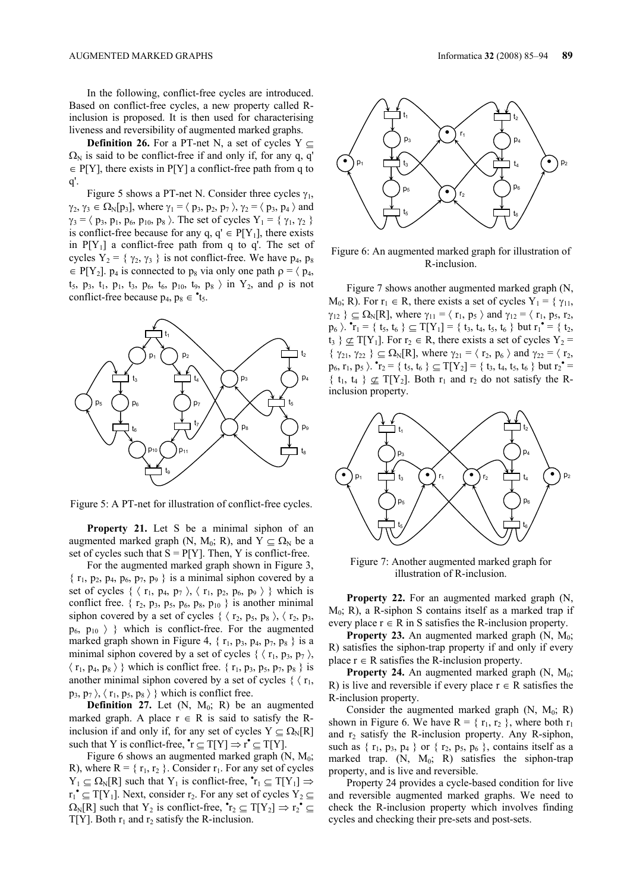In the following, conflict-free cycles are introduced. Based on conflict-free cycles, a new property called Rinclusion is proposed. It is then used for characterising liveness and reversibility of augmented marked graphs.

**Definition 26.** For a PT-net N, a set of cycles Y  $\subseteq$  $\Omega_N$  is said to be conflict-free if and only if, for any q, q'  $\in$  P[Y], there exists in P[Y] a conflict-free path from q to q'.

Figure 5 shows a PT-net N. Consider three cycles  $\gamma_1$ ,  $\gamma_2, \gamma_3 \in \Omega_{\rm N}[p_3]$ , where  $\gamma_1 = \langle p_3, p_2, p_7 \rangle$ ,  $\gamma_2 = \langle p_3, p_4 \rangle$  and  $\gamma_3 = \langle p_3, p_1, p_6, p_{10}, p_8 \rangle$ . The set of cycles  $Y_1 = \{ \gamma_1, \gamma_2 \}$ is conflict-free because for any  $q, q' \in P[Y_1]$ , there exists in  $P[Y_1]$  a conflict-free path from q to q'. The set of cycles  $Y_2 = \{ \gamma_2, \gamma_3 \}$  is not conflict-free. We have  $p_4$ ,  $p_8$  $\in$  P[Y<sub>2</sub>]. p<sub>4</sub> is connected to p<sub>8</sub> via only one path  $\rho = \langle p_4,$  $t_5$ ,  $p_3$ ,  $t_1$ ,  $p_1$ ,  $t_3$ ,  $p_6$ ,  $t_6$ ,  $p_{10}$ ,  $t_9$ ,  $p_8$   $\rangle$  in  $Y_2$ , and  $\rho$  is not conflict-free because  $p_4$ ,  $p_8 \in \text{t}_5$ .



Figure 5: A PT-net for illustration of conflict-free cycles.

**Property 21.** Let S be a minimal siphon of an augmented marked graph (N, M<sub>0</sub>; R), and  $Y \subset \Omega_N$  be a set of cycles such that  $S = P[Y]$ . Then, Y is conflict-free.

For the augmented marked graph shown in Figure 3,  $\{r_1, p_2, p_4, p_6, p_7, p_9\}$  is a minimal siphon covered by a set of cycles  $\{ \langle r_1, p_4, p_7 \rangle, \langle r_1, p_2, p_6, p_9 \rangle \}$  which is conflict free.  $\{r_2, p_3, p_5, p_6, p_8, p_{10}\}$  is another minimal siphon covered by a set of cycles  $\{ \langle r_2, p_5, p_8 \rangle, \langle r_2, p_3, \rangle \}$  $p_6$ ,  $p_{10}$   $\rangle$  } which is conflict-free. For the augmented marked graph shown in Figure 4,  $\{r_1, p_3, p_4, p_7, p_8\}$  is a minimal siphon covered by a set of cycles  $\{ \langle r_1, p_3, p_7 \rangle, \langle r_2, p_4 \rangle, \langle r_3, p_4 \rangle, \langle r_4, p_5 \rangle, \langle r_5, p_6 \rangle, \langle r_6, r_7 \rangle, \langle r_7 \rangle, \langle r_8 \rangle, \langle r_9 \rangle, \langle r_1 \rangle, \langle r_1 \rangle, \langle r_2 \rangle, \langle r_3 \rangle, \langle r_4 \rangle, \langle r_5 \rangle, \langle r_6 \rangle, \langle r_7 \rangle, \langle r_8 \rangle, \langle r_$  $\langle r_1, p_4, p_8 \rangle$  } which is conflict free.  $\{r_1, p_3, p_5, p_7, p_8\}$  is another minimal siphon covered by a set of cycles  $\{ \langle r_1, \rangle \}$  $p_3, p_7 \rangle$ ,  $\langle r_1, p_5, p_8 \rangle$  which is conflict free.

**Definition 27.** Let  $(N, M_0; R)$  be an augmented marked graph. A place  $r \in R$  is said to satisfy the Rinclusion if and only if, for any set of cycles  $Y \subseteq \Omega_N[R]$ such that Y is conflict-free,  $\mathbf{r} \subseteq T[Y] \Rightarrow \mathbf{r} \subseteq T[Y]$ .

Figure 6 shows an augmented marked graph  $(N, M_0;$ R), where  $R = \{r_1, r_2\}$ . Consider  $r_1$ . For any set of cycles  $Y_1 \subseteq \Omega_N[R]$  such that  $Y_1$  is conflict-free,  $\mathbf{\hat{r}}_1 \subseteq T[Y_1] \Rightarrow$  $r_1^{\bullet} \subseteq T[Y_1]$ . Next, consider  $r_2$ . For any set of cycles  $Y_2 \subseteq T[Y_1]$  $\Omega_{\rm N}[\text{R}]$  such that Y<sub>2</sub> is conflict-free,  $\mathbf{r}_2 \subseteq T[Y_2] \Rightarrow r_2 \mathbf{r} \subseteq$  $T[Y]$ . Both  $r_1$  and  $r_2$  satisfy the R-inclusion.



Figure 6: An augmented marked graph for illustration of R-inclusion.

Figure 7 shows another augmented marked graph (N,  $M_0$ ; R). For  $r_1 \in R$ , there exists a set of cycles  $Y_1 = \{ \gamma_{11}, \gamma_{12}, \ldots \}$  $\gamma_{12}$  }  $\subseteq \Omega_N[R]$ , where  $\gamma_{11} = \langle r_1, p_5 \rangle$  and  $\gamma_{12} = \langle r_1, p_5, r_2, r_1 \rangle$  $p_6$   $\}$ .  $\mathbf{r}_1 = \{ t_5, t_6 \} \subseteq T[Y_1] = \{ t_3, t_4, t_5, t_6 \}$  but  $r_1 \mathbf{r}_1 = \{ t_2, t_4, t_5, t_6 \}$  $t_3$  }  $\underline{\sigma}$  T[Y<sub>1</sub>]. For  $r_2 \in R$ , there exists a set of cycles Y<sub>2</sub> = {  $\gamma_{21}, \gamma_{22}$  }  $\subseteq \Omega_N[R]$ , where  $\gamma_{21} = \langle r_2, p_6 \rangle$  and  $\gamma_{22} = \langle r_2, p_6 \rangle$  $p_6, r_1, p_5$   $\}$ .  ${}^{\bullet}r_2 = \{ t_5, t_6 \} \subseteq T[Y_2] = \{ t_3, t_4, t_5, t_6 \}$  but  $r_2^{\bullet} =$  $\{ t_1, t_4 \} \not\subset T[Y_2]$ . Both  $r_1$  and  $r_2$  do not satisfy the Rinclusion property.



Figure 7: Another augmented marked graph for illustration of R-inclusion.

**Property 22.** For an augmented marked graph (N,  $M_0$ ; R), a R-siphon S contains itself as a marked trap if every place  $r \in R$  in S satisfies the R-inclusion property.

**Property 23.** An augmented marked graph  $(N, M_0;$ R) satisfies the siphon-trap property if and only if every place  $r \in R$  satisfies the R-inclusion property.

**Property 24.** An augmented marked graph  $(N, M_0;$ R) is live and reversible if every place  $r \in R$  satisfies the R-inclusion property.

Consider the augmented marked graph  $(N, M_0; R)$ shown in Figure 6. We have  $R = \{r_1, r_2\}$ , where both  $r_1$ and  $r_2$  satisfy the R-inclusion property. Any R-siphon, such as  $\{r_1, p_3, p_4\}$  or  $\{r_2, p_5, p_6\}$ , contains itself as a marked trap.  $(N, M_0; R)$  satisfies the siphon-trap property, and is live and reversible.

Property 24 provides a cycle-based condition for live and reversible augmented marked graphs. We need to check the R-inclusion property which involves finding cycles and checking their pre-sets and post-sets.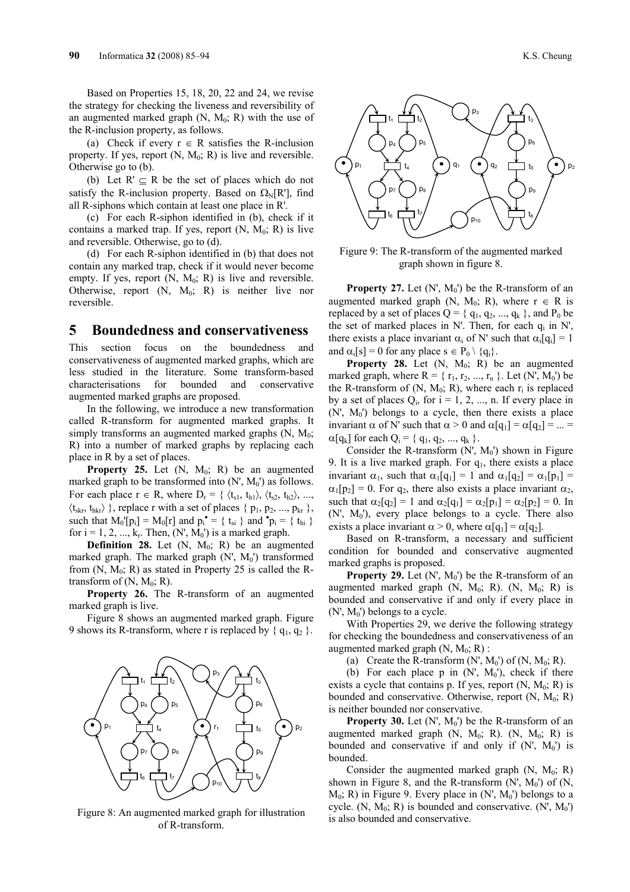Based on Properties 15, 18, 20, 22 and 24, we revise the strategy for checking the liveness and reversibility of an augmented marked graph  $(N, M_0; R)$  with the use of the R-inclusion property, as follows.

(a) Check if every  $r \in R$  satisfies the R-inclusion property. If yes, report  $(N, M_0; R)$  is live and reversible. Otherwise go to (b).

(b) Let  $R' \subseteq R$  be the set of places which do not satisfy the R-inclusion property. Based on  $\Omega_{\text{M}}[\text{R}^{\dagger}]$ , find all R-siphons which contain at least one place in R'.

(c) For each R-siphon identified in (b), check if it contains a marked trap. If yes, report  $(N, M_0; R)$  is live and reversible. Otherwise, go to (d).

(d) For each R-siphon identified in (b) that does not contain any marked trap, check if it would never become empty. If yes, report  $(N, M_0; R)$  is live and reversible. Otherwise, report  $(N, M_0; R)$  is neither live nor reversible.

### **5 Boundedness and conservativeness**

This section focus on the boundedness conservativeness of augmented marked graphs, which are less studied in the literature. Some transform-based characterisations for bounded and conservative augmented marked graphs are proposed.

In the following, we introduce a new transformation called R-transform for augmented marked graphs. It simply transforms an augmented marked graphs  $(N, M_0;$ R) into a number of marked graphs by replacing each place in R by a set of places.

**Property 25.** Let  $(N, M_0; R)$  be an augmented marked graph to be transformed into  $(N', M_0')$  as follows. For each place  $r \in R$ , where  $D_r = \{ \langle t_{s1}, t_{h1} \rangle, \langle t_{s2}, t_{h2} \rangle, ...,$  $\langle t_{skr}, t_{hkr} \rangle$ }, replace r with a set of places {  $p_1, p_2, ..., p_{kr}$  }, such that  $M_0'[p_i] = M_0[r]$  and  $p_i^{\bullet} = \{ t_{si} \}$  and  $\mathbf{\hat{p}}_i = \{ t_{hi} \}$ for  $i = 1, 2, ..., k_r$ . Then,  $(N', M_0')$  is a marked graph.

**Definition 28.** Let  $(N, M_0; R)$  be an augmented marked graph. The marked graph  $(N', M_0')$  transformed from  $(N, M_0; R)$  as stated in Property 25 is called the Rtransform of  $(N, M_0; R)$ .

**Property 26.** The R-transform of an augmented marked graph is live.

Figure 8 shows an augmented marked graph. Figure 9 shows its R-transform, where r is replaced by  $\{q_1, q_2\}$ .



Figure 8: An augmented marked graph for illustration of R-transform.



Figure 9: The R-transform of the augmented marked graph shown in figure 8.

**Property 27.** Let  $(N', M_0')$  be the R-transform of an augmented marked graph (N, M<sub>0</sub>; R), where  $r \in R$  is replaced by a set of places  $Q = \{q_1, q_2, ..., q_k\}$ , and  $P_0$  be the set of marked places in N'. Then, for each q<sub>i</sub> in N', there exists a place invariant  $\alpha_i$  of N' such that  $\alpha_i[q_i] = 1$ and  $\alpha_i[s] = 0$  for any place  $s \in P_0 \setminus \{q_i\}$ .

**Property 28.** Let  $(N, M_0; R)$  be an augmented marked graph, where  $R = \{r_1, r_2, ..., r_n\}$ . Let  $(N', M_0')$  be the R-transform of  $(N, M_0; R)$ , where each  $r_i$  is replaced by a set of places  $Q_i$ , for  $i = 1, 2, ..., n$ . If every place in  $(N', M_0')$  belongs to a cycle, then there exists a place invariant  $\alpha$  of N' such that  $\alpha > 0$  and  $\alpha[q_1] = \alpha[q_2] = ... =$  $\alpha[q_k]$  for each  $Q_i = \{q_1, q_2, ..., q_k\}$ .

Consider the R-transform  $(N, M_0)$  shown in Figure 9. It is a live marked graph. For  $q_1$ , there exists a place invariant  $\alpha_1$ , such that  $\alpha_1[q_1] = 1$  and  $\alpha_1[q_2] = \alpha_1[p_1] =$  $\alpha_1[p_2] = 0$ . For  $q_2$ , there also exists a place invariant  $\alpha_2$ , such that  $\alpha_2[q_2] = 1$  and  $\alpha_2[q_1] = \alpha_2[p_1] = \alpha_2[p_2] = 0$ . In  $(N', M_0')$ , every place belongs to a cycle. There also exists a place invariant  $\alpha > 0$ , where  $\alpha[q_1] = \alpha[q_2]$ .

Based on R-transform, a necessary and sufficient condition for bounded and conservative augmented marked graphs is proposed.

**Property 29.** Let  $(N', M_0')$  be the R-transform of an augmented marked graph  $(N, M_0; R)$ .  $(N, M_0; R)$  is bounded and conservative if and only if every place in  $(N', M_0')$  belongs to a cycle.

With Properties 29, we derive the following strategy for checking the boundedness and conservativeness of an augmented marked graph  $(N, M_0; R)$ :

(a) Create the R-transform  $(N', M_0')$  of  $(N, M_0; R)$ .

(b) For each place p in  $(N', M_0')$ , check if there exists a cycle that contains p. If yes, report  $(N, M_0; R)$  is bounded and conservative. Otherwise, report  $(N, M_0; R)$ is neither bounded nor conservative.

**Property 30.** Let  $(N', M_0')$  be the R-transform of an augmented marked graph  $(N, M_0; R)$ .  $(N, M_0; R)$  is bounded and conservative if and only if  $(N', M_0')$  is bounded.

Consider the augmented marked graph  $(N, M_0; R)$ shown in Figure 8, and the R-transform  $(N', M_0')$  of  $(N,$  $M_0$ ; R) in Figure 9. Every place in  $(N', M_0')$  belongs to a cycle.  $(N, M_0; R)$  is bounded and conservative.  $(N', M_0')$ is also bounded and conservative.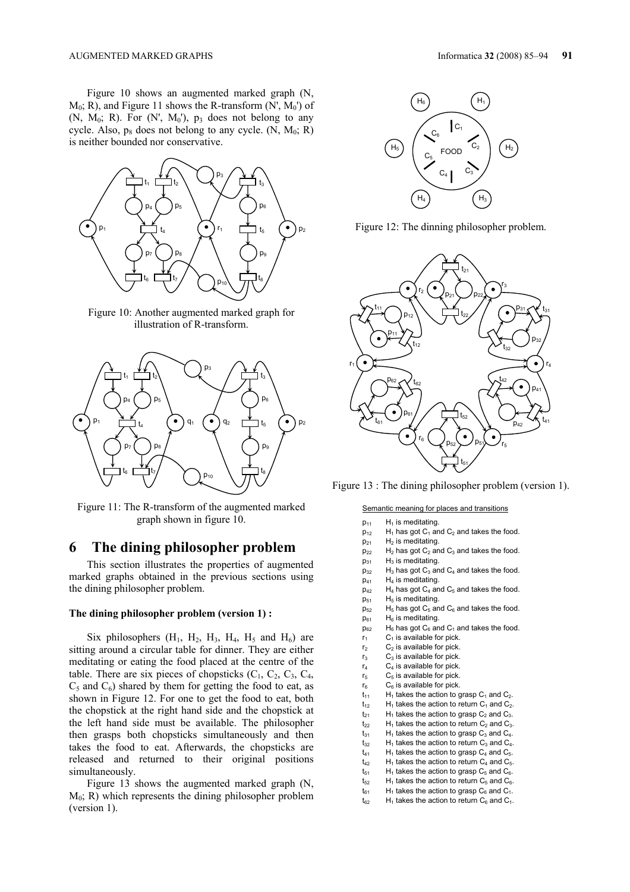Figure 10 shows an augmented marked graph (N,  $M_0$ ; R), and Figure 11 shows the R-transform (N',  $M_0$ ') of  $(N, M_0; R)$ . For  $(N', M_0')$ ,  $p_3$  does not belong to any cycle. Also,  $p_8$  does not belong to any cycle. (N,  $M_0$ ; R) is neither bounded nor conservative.



Figure 10: Another augmented marked graph for illustration of R-transform.



Figure 11: The R-transform of the augmented marked graph shown in figure 10.

### **6 The dining philosopher problem**

This section illustrates the properties of augmented marked graphs obtained in the previous sections using the dining philosopher problem.

### **The dining philosopher problem (version 1) :**

Six philosophers  $(H_1, H_2, H_3, H_4, H_5$  and  $H_6$ ) are sitting around a circular table for dinner. They are either meditating or eating the food placed at the centre of the table. There are six pieces of chopsticks  $(C_1, C_2, C_3, C_4,$  $C_5$  and  $C_6$ ) shared by them for getting the food to eat, as shown in Figure 12. For one to get the food to eat, both the chopstick at the right hand side and the chopstick at the left hand side must be available. The philosopher then grasps both chopsticks simultaneously and then takes the food to eat. Afterwards, the chopsticks are released and returned to their original positions simultaneously.

Figure 13 shows the augmented marked graph (N,  $M_0$ ; R) which represents the dining philosopher problem (version 1).



Figure 12: The dinning philosopher problem.



Figure 13 : The dining philosopher problem (version 1).

#### Semantic meaning for places and transitions

| $p_{11}$        | $H_1$ is meditating.                               |
|-----------------|----------------------------------------------------|
| $p_{12}$        | $H_1$ has got $C_1$ and $C_2$ and takes the food.  |
| $p_{21}$        | $H2$ is meditating.                                |
| $p_{22}$        | $H_2$ has got $C_2$ and $C_3$ and takes the food.  |
| $p_{31}$        | $H_3$ is meditating.                               |
| $p_{32}$        | $H_3$ has got $C_3$ and $C_4$ and takes the food.  |
| $p_{41}$        | $H_4$ is meditating.                               |
| $D_{42}$        | $H_4$ has got $C_4$ and $C_5$ and takes the food.  |
| $p_{51}$        | $H5$ is meditating.                                |
| $D_{52}$        | $H_5$ has got $C_5$ and $C_6$ and takes the food.  |
| $p_{61}$        | $H_6$ is meditating.                               |
| $p_{62}$        | $H_6$ has got $C_6$ and $C_1$ and takes the food.  |
| r <sub>1</sub>  | $C_1$ is available for pick.                       |
| r <sub>2</sub>  | $C2$ is available for pick.                        |
| $r_3$           | $C_3$ is available for pick.                       |
| r <sub>4</sub>  | $C_4$ is available for pick.                       |
| r <sub>5</sub>  | $C5$ is available for pick.                        |
| $r_{6}$         | $C_6$ is available for pick.                       |
| $t_{11}$        | $H_1$ takes the action to grasp $C_1$ and $C_2$ .  |
| $t_{12}$        | $H_1$ takes the action to return $C_1$ and $C_2$ . |
| $t_{21}$        | $H_1$ takes the action to grasp $C_2$ and $C_3$ .  |
| $t_{22}$        | $H_1$ takes the action to return $C_2$ and $C_3$ . |
| $t_{31}$        | $H_1$ takes the action to grasp $C_3$ and $C_4$ .  |
| $t_{32}$        | $H_1$ takes the action to return $C_3$ and $C_4$ . |
| t <sub>41</sub> | $H_1$ takes the action to grasp $C_4$ and $C_5$ .  |
| t <sub>42</sub> | $H_1$ takes the action to return $C_4$ and $C_5$ . |
|                 |                                                    |

- $t_{51}$  H<sub>1</sub> takes the action to grasp C<sub>5</sub> and C<sub>6</sub>.
- $t_{52}$  H<sub>1</sub> takes the action to return  $C_5$  and  $C_6$ .
- $t_{61}$  H<sub>1</sub> takes the action to grasp  $C_6$  and  $C_1$ .
- $t_{62}$  H<sub>1</sub> takes the action to return  $C_6$  and  $C_1$ .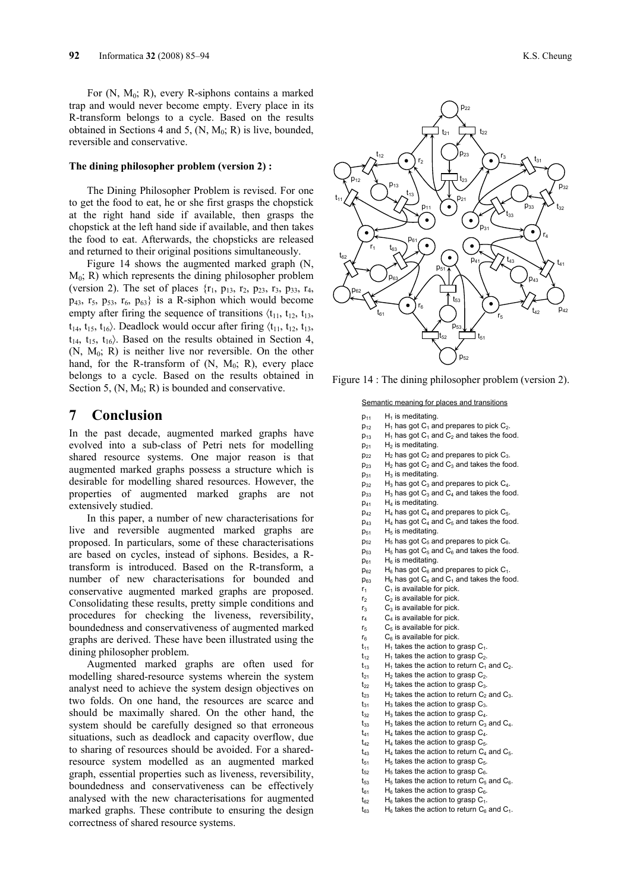For  $(N, M_0; R)$ , every R-siphons contains a marked trap and would never become empty. Every place in its R-transform belongs to a cycle. Based on the results obtained in Sections 4 and 5,  $(N, M_0; R)$  is live, bounded, reversible and conservative.

### **The dining philosopher problem (version 2) :**

The Dining Philosopher Problem is revised. For one to get the food to eat, he or she first grasps the chopstick at the right hand side if available, then grasps the chopstick at the left hand side if available, and then takes the food to eat. Afterwards, the chopsticks are released and returned to their original positions simultaneously.

Figure 14 shows the augmented marked graph (N,  $M_0$ ; R) which represents the dining philosopher problem (version 2). The set of places  $\{r_1, p_{13}, r_2, p_{23}, r_3, p_{33}, r_4,$  $p_{43}$ ,  $r_5$ ,  $p_{53}$ ,  $r_6$ ,  $p_{63}$  is a R-siphon which would become empty after firing the sequence of transitions  $\langle t_{11}, t_{12}, t_{13},$  $t_{14}$ ,  $t_{15}$ ,  $t_{16}$ ). Deadlock would occur after firing  $\langle t_{11}, t_{12}, t_{13},$  $t_{14}$ ,  $t_{15}$ ,  $t_{16}$ ). Based on the results obtained in Section 4,  $(N, M_0; R)$  is neither live nor reversible. On the other hand, for the R-transform of  $(N, M_0; R)$ , every place belongs to a cycle. Based on the results obtained in Section 5,  $(N, M_0; R)$  is bounded and conservative.

# **7 Conclusion**

In the past decade, augmented marked graphs have evolved into a sub-class of Petri nets for modelling shared resource systems. One major reason is that augmented marked graphs possess a structure which is desirable for modelling shared resources. However, the properties of augmented marked graphs are not extensively studied.

In this paper, a number of new characterisations for live and reversible augmented marked graphs are proposed. In particulars, some of these characterisations are based on cycles, instead of siphons. Besides, a Rtransform is introduced. Based on the R-transform, a number of new characterisations for bounded and conservative augmented marked graphs are proposed. Consolidating these results, pretty simple conditions and procedures for checking the liveness, reversibility, boundedness and conservativeness of augmented marked graphs are derived. These have been illustrated using the dining philosopher problem.

Augmented marked graphs are often used for modelling shared-resource systems wherein the system analyst need to achieve the system design objectives on two folds. On one hand, the resources are scarce and should be maximally shared. On the other hand, the system should be carefully designed so that erroneous situations, such as deadlock and capacity overflow, due to sharing of resources should be avoided. For a sharedresource system modelled as an augmented marked graph, essential properties such as liveness, reversibility, boundedness and conservativeness can be effectively analysed with the new characterisations for augmented marked graphs. These contribute to ensuring the design correctness of shared resource systems.



Figure 14 : The dining philosopher problem (version 2).

### Semantic meaning for places and transitions

| P <sub>11</sub>            | $H_1$ is meditating.                               |
|----------------------------|----------------------------------------------------|
| $p_{12}$                   | $H_1$ has got $C_1$ and prepares to pick $C_2$ .   |
| $p_{13}$                   | $H_1$ has got $C_1$ and $C_2$ and takes the food.  |
| $p_{21}$                   | $H2$ is meditating.                                |
| $p_{22}$                   | $H_2$ has got $C_2$ and prepares to pick $C_3$ .   |
| $p_{23}$                   | $H_2$ has got $C_2$ and $C_3$ and takes the food.  |
| $p_{31}$                   | $H_3$ is meditating.                               |
| $p_{32}$                   | $H_3$ has got $C_3$ and prepares to pick $C_4$ .   |
| $p_{33}$                   | $H_3$ has got $C_3$ and $C_4$ and takes the food.  |
| P <sub>41</sub>            | $H_4$ is meditating.                               |
| P <sub>42</sub>            | $H_4$ has got $C_4$ and prepares to pick $C_5$ .   |
| P <sub>43</sub>            | $H_4$ has got $C_4$ and $C_5$ and takes the food.  |
| P <sub>51</sub>            | $H5$ is meditating.                                |
| P <sub>52</sub>            | $H_5$ has got $C_5$ and prepares to pick $C_6$ .   |
| $p_{53}$                   | $H_5$ has got $C_5$ and $C_6$ and takes the food.  |
| $p_{61}$                   | $H_6$ is meditating.                               |
| $p_{62}$                   | $H_6$ has got $C_6$ and prepares to pick $C_1$ .   |
| P <sub>63</sub>            | $H_6$ has got $C_6$ and $C_1$ and takes the food.  |
| r,                         | $C_1$ is available for pick.                       |
| r2                         | $C_2$ is available for pick.                       |
| r3                         | $C_3$ is available for pick.                       |
| r,                         | $C_4$ is available for pick.                       |
| r,                         | $C5$ is available for pick.                        |
| $\mathsf{r}_6$             | $C_6$ is available for pick.                       |
| t <sub>11</sub>            | $H_1$ takes the action to grasp $C_1$ .            |
| $t_{12}$                   | $H_1$ takes the action to grasp $C_2$ .            |
| t <sub>13</sub>            | $H_1$ takes the action to return $C_1$ and $C_2$ . |
| t <sub>21</sub>            | $H_2$ takes the action to grasp $C_2$ .            |
| $\mathsf{t}_{22}$          | $H_2$ takes the action to grasp $C_3$ .            |
| $t_{23}$                   | $H_2$ takes the action to return $C_2$ and $C_3$ . |
| $t_{31}$                   | $H_3$ takes the action to grasp $C_3$ .            |
| $\mathsf{t}_{32}$          | $H_3$ takes the action to grasp $C_4$ .            |
| $\mathsf{t}_{33}$          | $H_3$ takes the action to return $C_3$ and $C_4$ . |
| t41                        | $H_4$ takes the action to grasp $C_4$ .            |
| t <sub>42</sub>            | $H_4$ takes the action to grasp $C_5$ .            |
| t <sub>43</sub>            | $H_4$ takes the action to return $C_4$ and $C_5$ . |
| $\mathsf{t}_{\mathsf{51}}$ | $H_5$ takes the action to grasp $C_5$ .            |
| $\mathsf{t}_{52}$          | $H_5$ takes the action to grasp $C_6$ .            |
| $\mathsf{t}_{53}$          | $H_5$ takes the action to return $C_5$ and $C_6$ . |
| t <sub>61</sub>            | $H_6$ takes the action to grasp $C_6$ .            |
| t <sub>62</sub>            | $H_6$ takes the action to grasp $C_1$ .            |
| t <sub>63</sub>            | $H_6$ takes the action to return $C_6$ and $C_1$ . |
|                            |                                                    |
|                            |                                                    |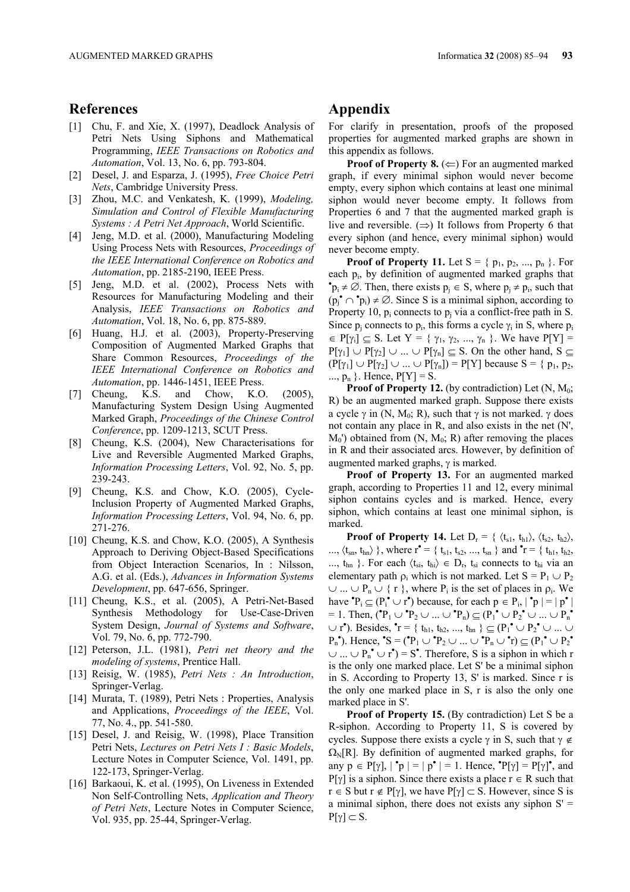### **References**

- [1] Chu, F. and Xie, X. (1997), Deadlock Analysis of Petri Nets Using Siphons and Mathematical Programming, *IEEE Transactions on Robotics and Automation*, Vol. 13, No. 6, pp. 793-804.
- [2] Desel, J. and Esparza, J. (1995), *Free Choice Petri Nets*, Cambridge University Press.
- [3] Zhou, M.C. and Venkatesh, K. (1999), *Modeling, Simulation and Control of Flexible Manufacturing Systems : A Petri Net Approach*, World Scientific.
- [4] Jeng, M.D. et al. (2000), Manufacturing Modeling Using Process Nets with Resources, *Proceedings of the IEEE International Conference on Robotics and Automation*, pp. 2185-2190, IEEE Press.
- [5] Jeng, M.D. et al. (2002), Process Nets with Resources for Manufacturing Modeling and their Analysis, *IEEE Transactions on Robotics and Automation*, Vol. 18, No. 6, pp. 875-889.
- [6] Huang, H.J. et al. (2003), Property-Preserving Composition of Augmented Marked Graphs that Share Common Resources, *Proceedings of the IEEE International Conference on Robotics and Automation*, pp. 1446-1451, IEEE Press.
- [7] Cheung, K.S. and Chow, K.O. (2005), Manufacturing System Design Using Augmented Marked Graph, *Proceedings of the Chinese Control Conference*, pp. 1209-1213, SCUT Press.
- [8] Cheung, K.S. (2004), New Characterisations for Live and Reversible Augmented Marked Graphs, *Information Processing Letters*, Vol. 92, No. 5, pp. 239-243.
- [9] Cheung, K.S. and Chow, K.O. (2005), Cycle-Inclusion Property of Augmented Marked Graphs, *Information Processing Letters*, Vol. 94, No. 6, pp. 271-276.
- [10] Cheung, K.S. and Chow, K.O. (2005), A Synthesis Approach to Deriving Object-Based Specifications from Object Interaction Scenarios, In : Nilsson, A.G. et al. (Eds.), *Advances in Information Systems Development*, pp. 647-656, Springer.
- [11] Cheung, K.S., et al. (2005), A Petri-Net-Based Synthesis Methodology for Use-Case-Driven System Design, *Journal of Systems and Software*, Vol. 79, No. 6, pp. 772-790.
- [12] Peterson, J.L. (1981), *Petri net theory and the modeling of systems*, Prentice Hall.
- [13] Reisig, W. (1985), *Petri Nets : An Introduction*, Springer-Verlag.
- [14] Murata, T. (1989), Petri Nets : Properties, Analysis and Applications, *Proceedings of the IEEE*, Vol. 77, No. 4., pp. 541-580.
- [15] Desel, J. and Reisig, W. (1998), Place Transition Petri Nets, *Lectures on Petri Nets I : Basic Models*, Lecture Notes in Computer Science, Vol. 1491, pp. 122-173, Springer-Verlag.
- [16] Barkaoui, K. et al. (1995), On Liveness in Extended Non Self-Controlling Nets, *Application and Theory of Petri Nets*, Lecture Notes in Computer Science, Vol. 935, pp. 25-44, Springer-Verlag.

# **Appendix**

For clarify in presentation, proofs of the proposed properties for augmented marked graphs are shown in this appendix as follows.

**Proof of Property 8.** (⇐) For an augmented marked graph, if every minimal siphon would never become empty, every siphon which contains at least one minimal siphon would never become empty. It follows from Properties 6 and 7 that the augmented marked graph is live and reversible.  $(\Rightarrow)$  It follows from Property 6 that every siphon (and hence, every minimal siphon) would never become empty.

**Proof of Property 11.** Let  $S = \{p_1, p_2, ..., p_n\}$ . For each  $p_i$ , by definition of augmented marked graphs that  ${}^{\bullet}p_i \neq \emptyset$ . Then, there exists  $p_j \in S$ , where  $p_j \neq p_i$ , such that  $(p_j \nightharpoonup p_i) \neq \emptyset$ . Since S is a minimal siphon, according to Property 10,  $p_i$  connects to  $p_i$  via a conflict-free path in S. Since  $p_j$  connects to  $p_i$ , this forms a cycle  $\gamma_i$  in S, where  $p_i$  $\in$  P[ $\gamma_i$ ]  $\subseteq$  S. Let Y = {  $\gamma_1$ ,  $\gamma_2$ , ...,  $\gamma_n$  }. We have P[Y] =  $P[\gamma_1] \cup P[\gamma_2] \cup ... \cup P[\gamma_n] \subseteq S$ . On the other hand,  $S \subseteq$  $(P[\gamma_1] \cup P[\gamma_2] \cup ... \cup P[\gamma_n]) = P[Y]$  because  $S = \{p_1, p_2, ... \}$ ...,  $p_n$  }. Hence,  $P[Y] = S$ .

**Proof of Property 12.** (by contradiction) Let  $(N, M_0;$ R) be an augmented marked graph. Suppose there exists a cycle  $\gamma$  in (N, M<sub>0</sub>; R), such that  $\gamma$  is not marked.  $\gamma$  does not contain any place in R, and also exists in the net (N',  $M_0'$ ) obtained from  $(N, M_0; R)$  after removing the places in R and their associated arcs. However, by definition of augmented marked graphs, γ is marked.

**Proof of Property 13.** For an augmented marked graph, according to Properties 11 and 12, every minimal siphon contains cycles and is marked. Hence, every siphon, which contains at least one minimal siphon, is marked.

**Proof of Property 14.** Let  $D_r = \{ \langle t_{s1}, t_{h1} \rangle, \langle t_{s2}, t_{h2} \rangle, \}$ ...,  $\langle t_{sn}, t_{hn} \rangle$ }, where  $r^{\bullet} = \{ t_{s1}, t_{s2}, ..., t_{sn} \}$  and  $\mathbf{r} = \{ t_{h1}, t_{h2}, ... \}$ ...,  $t_{hn}$  }. For each  $\langle t_{si}, t_{hi} \rangle \in D_r$ ,  $t_{si}$  connects to  $t_{hi}$  via an elementary path  $\rho_i$  which is not marked. Let  $S = P_1 \cup P_2$  $\cup ... \cup P_n \cup \{r\}$ , where  $P_i$  is the set of places in  $\rho_i$ . We have  ${}^{\bullet}P_i \subseteq (P_i{}^{\bullet} \cup r^{\bullet})$  because, for each  $p \in P_i$ ,  $|{}^{\bullet}p| = |p^{\bullet}|$  $= 1$ . Then,  $({^{\bullet}P_1} \cup {^{\bullet}P_2} \cup ... \cup {^{\bullet}P_n}) \subseteq (P_1 {^{\bullet}} \cup P_2 {^{\bullet}} \cup ... \cup P_n {^{\bullet}})$ ∪ r<sup>•</sup>). Besides,  ${}^{\bullet}r = \{ t_{h1}, t_{h2}, ..., t_{hn} \} \subseteq (P_1{}^{\bullet} \cup P_2{}^{\bullet} \cup ... \cup$  $P_n^{\bullet}$ ). Hence,  $^{\bullet}S = (^{\bullet}P_1 \cup {\^{\bullet}P_2} \cup ... \cup {\^{\bullet}P_n} \cup {\^{\bullet}r}) \subseteq (P_1^{\bullet} \cup P_2^{\bullet}$  $\cup ... \cup P_n^{\bullet} \cup r^{\bullet}$  = S<sup>\*</sup>. Therefore, S is a siphon in which r is the only one marked place. Let S' be a minimal siphon in S. According to Property 13, S' is marked. Since r is the only one marked place in S, r is also the only one marked place in S'.

**Proof of Property 15.** (By contradiction) Let S be a R-siphon. According to Property 11, S is covered by cycles. Suppose there exists a cycle  $\gamma$  in S, such that  $\gamma \notin \mathbb{R}$  $\Omega_N[R]$ . By definition of augmented marked graphs, for any  $p \in P[\gamma]$ ,  $\mid \mathbf{P}p \mid \mathbf{P} = |p^{\bullet}| = 1$ . Hence,  $\mathbf{P}[\gamma] = P[\gamma]^{\bullet}$ , and  $P[\gamma]$  is a siphon. Since there exists a place  $r \in R$  such that  $r \in S$  but  $r \notin P[\gamma]$ , we have  $P[\gamma] \subset S$ . However, since S is a minimal siphon, there does not exists any siphon  $S' =$  $P[\gamma] \subset S$ .